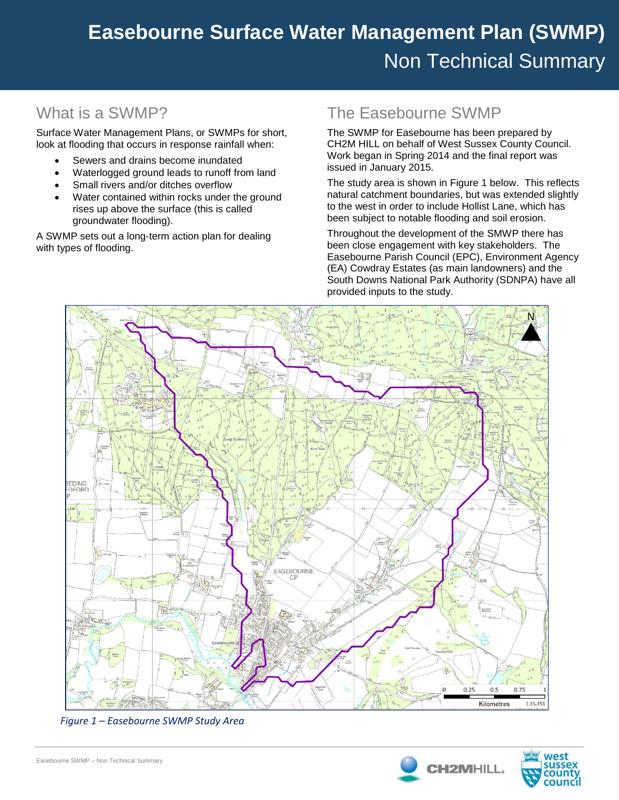# **Easebourne Surface Water Management Plan (SWMP) Easebourne Surface Water Management Plan (SWMP)** Non Technical Summary

## What is a SWMP?

Surface Water Management Plans, or SWMPs for short, look at flooding that occurs in response rainfall when:

- Sewers and drains become inundated
- Waterlogged ground leads to runoff from land
- Small rivers and/or ditches overflow
- Water contained within rocks under the ground rises up above the surface (this is called groundwater flooding).

A SWMP sets out a long-term action plan for dealing with types of flooding.

### The Easebourne SWMP

The SWMP for Easebourne has been prepared by CH2M HILL on behalf of West Sussex County Council. Work began in Spring 2014 and the final report was issued in January 2015.

The study area is shown in Figure 1 below. This reflects natural catchment boundaries, but was extended slightly to the west in order to include Hollist Lane, which has been subject to notable flooding and soil erosion.

Throughout the development of the SMWP there has been close engagement with key stakeholders. The Easebourne Parish Council (EPC), Environment Agency (EA) Cowdray Estates (as main landowners) and the South Downs National Park Authority (SDNPA) have all provided inputs to the study.



*Figure 1 – Easebourne SWMP Study Area*



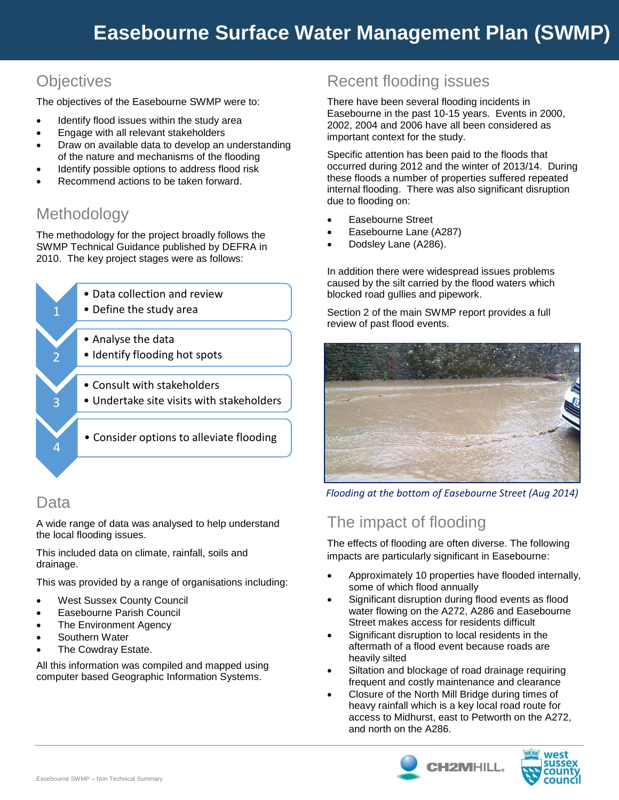# **Objectives**

The objectives of the Easebourne SWMP were to:

- Identify flood issues within the study area
- Engage with all relevant stakeholders
- Draw on available data to develop an understanding of the nature and mechanisms of the flooding
- Identify possible options to address flood risk
- Recommend actions to be taken forward.

# Methodology

The methodology for the project broadly follows the SWMP Technical Guidance published by DEFRA in 2010. The key project stages were as follows:



#### Data

A wide range of data was analysed to help understand the local flooding issues.

This included data on climate, rainfall, soils and drainage.

This was provided by a range of organisations including:

- West Sussex County Council
- Easebourne Parish Council
- The Environment Agency
- Southern Water
- The Cowdray Estate.

All this information was compiled and mapped using computer based Geographic Information Systems.

### Recent flooding issues

There have been several flooding incidents in Easebourne in the past 10-15 years. Events in 2000, 2002, 2004 and 2006 have all been considered as important context for the study.

Specific attention has been paid to the floods that occurred during 2012 and the winter of 2013/14. During these floods a number of properties suffered repeated internal flooding. There was also significant disruption due to flooding on:

- Easebourne Street
- Easebourne Lane (A287)
- Dodsley Lane (A286).

In addition there were widespread issues problems caused by the silt carried by the flood waters which blocked road gullies and pipework.

Section 2 of the main SWMP report provides a full review of past flood events.



*Flooding at the bottom of Easebourne Street (Aug 2014)*

## The impact of flooding

The effects of flooding are often diverse. The following impacts are particularly significant in Easebourne:

- Approximately 10 properties have flooded internally, some of which flood annually
- Significant disruption during flood events as flood water flowing on the A272, A286 and Easebourne Street makes access for residents difficult
- Significant disruption to local residents in the aftermath of a flood event because roads are heavily silted
- Siltation and blockage of road drainage requiring frequent and costly maintenance and clearance
- Closure of the North Mill Bridge during times of heavy rainfall which is a key local road route for access to Midhurst, east to Petworth on the A272, and north on the A286.



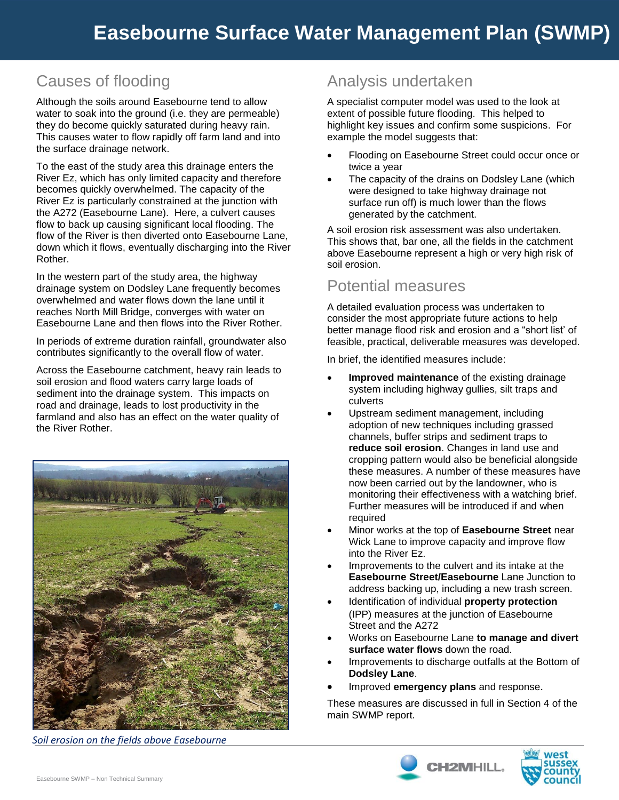# Causes of flooding

Although the soils around Easebourne tend to allow water to soak into the ground (i.e. they are permeable) they do become quickly saturated during heavy rain. This causes water to flow rapidly off farm land and into the surface drainage network.

To the east of the study area this drainage enters the River Ez, which has only limited capacity and therefore becomes quickly overwhelmed. The capacity of the River Ez is particularly constrained at the junction with the A272 (Easebourne Lane). Here, a culvert causes flow to back up causing significant local flooding. The flow of the River is then diverted onto Easebourne Lane, down which it flows, eventually discharging into the River Rother.

In the western part of the study area, the highway drainage system on Dodsley Lane frequently becomes overwhelmed and water flows down the lane until it reaches North Mill Bridge, converges with water on Easebourne Lane and then flows into the River Rother.

In periods of extreme duration rainfall, groundwater also contributes significantly to the overall flow of water.

Across the Easebourne catchment, heavy rain leads to soil erosion and flood waters carry large loads of sediment into the drainage system. This impacts on road and drainage, leads to lost productivity in the farmland and also has an effect on the water quality of the River Rother.



*Soil erosion on the fields above Easebourne*

# Analysis undertaken

A specialist computer model was used to the look at extent of possible future flooding. This helped to highlight key issues and confirm some suspicions. For example the model suggests that:

- Flooding on Easebourne Street could occur once or twice a year
- The capacity of the drains on Dodsley Lane (which were designed to take highway drainage not surface run off) is much lower than the flows generated by the catchment.

A soil erosion risk assessment was also undertaken. This shows that, bar one, all the fields in the catchment above Easebourne represent a high or very high risk of soil erosion.

#### Potential measures

A detailed evaluation process was undertaken to consider the most appropriate future actions to help better manage flood risk and erosion and a "short list' of feasible, practical, deliverable measures was developed.

In brief, the identified measures include:

- **Improved maintenance** of the existing drainage system including highway gullies, silt traps and culverts
- Upstream sediment management, including adoption of new techniques including grassed channels, buffer strips and sediment traps to **reduce soil erosion**. Changes in land use and cropping pattern would also be beneficial alongside these measures. A number of these measures have now been carried out by the landowner, who is monitoring their effectiveness with a watching brief. Further measures will be introduced if and when required
- Minor works at the top of **Easebourne Street** near Wick Lane to improve capacity and improve flow into the River Ez.
- Improvements to the culvert and its intake at the **Easebourne Street/Easebourne** Lane Junction to address backing up, including a new trash screen.
- Identification of individual **property protection** (IPP) measures at the junction of Easebourne Street and the A272
- Works on Easebourne Lane **to manage and divert surface water flows** down the road.
- Improvements to discharge outfalls at the Bottom of **Dodsley Lane**.
- Improved **emergency plans** and response.

These measures are discussed in full in Section 4 of the main SWMP report.